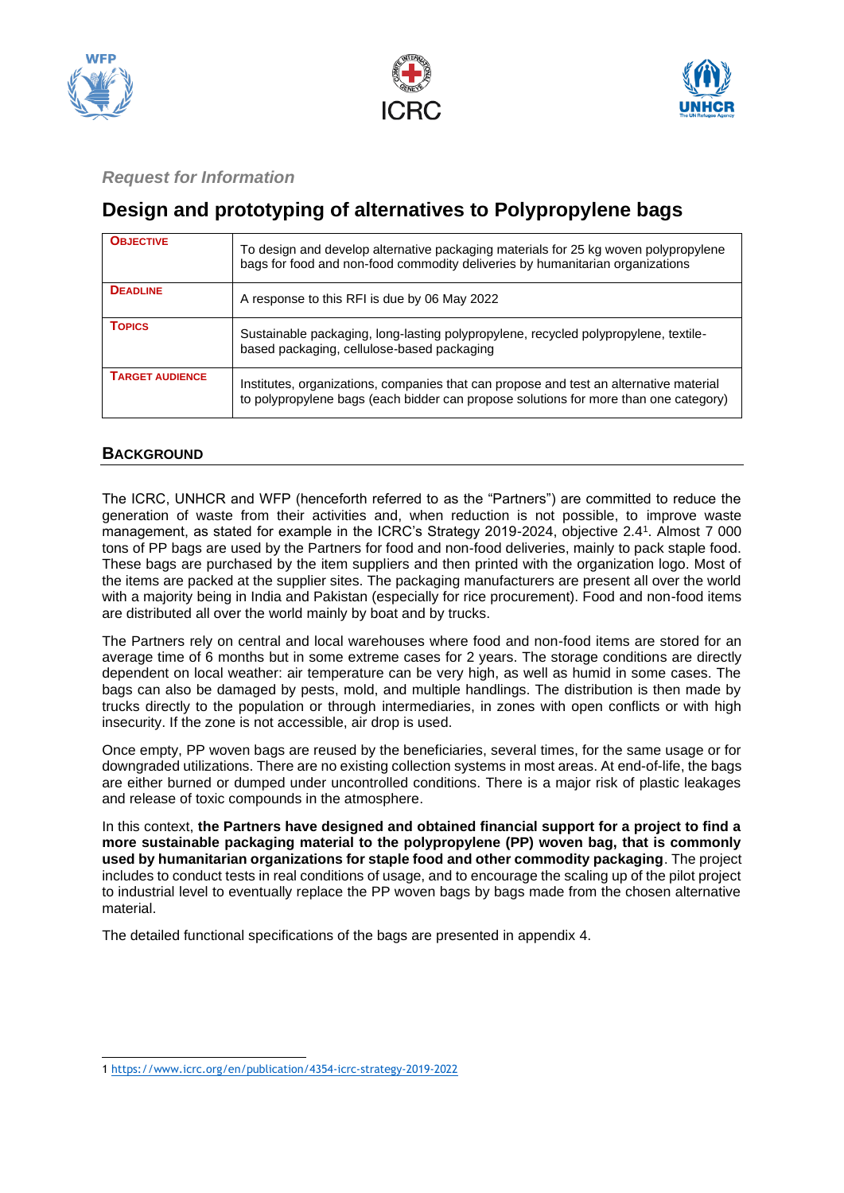





# *Request for Information*

# **Design and prototyping of alternatives to Polypropylene bags**

| <b>OBJECTIVE</b>       | To design and develop alternative packaging materials for 25 kg woven polypropylene<br>bags for food and non-food commodity deliveries by humanitarian organizations           |
|------------------------|--------------------------------------------------------------------------------------------------------------------------------------------------------------------------------|
| <b>DEADLINE</b>        | A response to this RFI is due by 06 May 2022                                                                                                                                   |
| <b>TOPICS</b>          | Sustainable packaging, long-lasting polypropylene, recycled polypropylene, textile-<br>based packaging, cellulose-based packaging                                              |
| <b>TARGET AUDIENCE</b> | Institutes, organizations, companies that can propose and test an alternative material<br>to polypropylene bags (each bidder can propose solutions for more than one category) |

## **BACKGROUND**

The ICRC, UNHCR and WFP (henceforth referred to as the "Partners") are committed to reduce the generation of waste from their activities and, when reduction is not possible, to improve waste management, as stated for example in the ICRC's Strategy 2019-2024, objective 2.4<sup>1</sup> . Almost 7 000 tons of PP bags are used by the Partners for food and non-food deliveries, mainly to pack staple food. These bags are purchased by the item suppliers and then printed with the organization logo. Most of the items are packed at the supplier sites. The packaging manufacturers are present all over the world with a majority being in India and Pakistan (especially for rice procurement). Food and non-food items are distributed all over the world mainly by boat and by trucks.

The Partners rely on central and local warehouses where food and non-food items are stored for an average time of 6 months but in some extreme cases for 2 years. The storage conditions are directly dependent on local weather: air temperature can be very high, as well as humid in some cases. The bags can also be damaged by pests, mold, and multiple handlings. The distribution is then made by trucks directly to the population or through intermediaries, in zones with open conflicts or with high insecurity. If the zone is not accessible, air drop is used.

Once empty, PP woven bags are reused by the beneficiaries, several times, for the same usage or for downgraded utilizations. There are no existing collection systems in most areas. At end-of-life, the bags are either burned or dumped under uncontrolled conditions. There is a major risk of plastic leakages and release of toxic compounds in the atmosphere.

In this context, **the Partners have designed and obtained financial support for a project to find a more sustainable packaging material to the polypropylene (PP) woven bag, that is commonly used by humanitarian organizations for staple food and other commodity packaging**. The project includes to conduct tests in real conditions of usage, and to encourage the scaling up of the pilot project to industrial level to eventually replace the PP woven bags by bags made from the chosen alternative material.

The detailed functional specifications of the bags are presented in appendix 4.

<sup>1</sup> <https://www.icrc.org/en/publication/4354-icrc-strategy-2019-2022>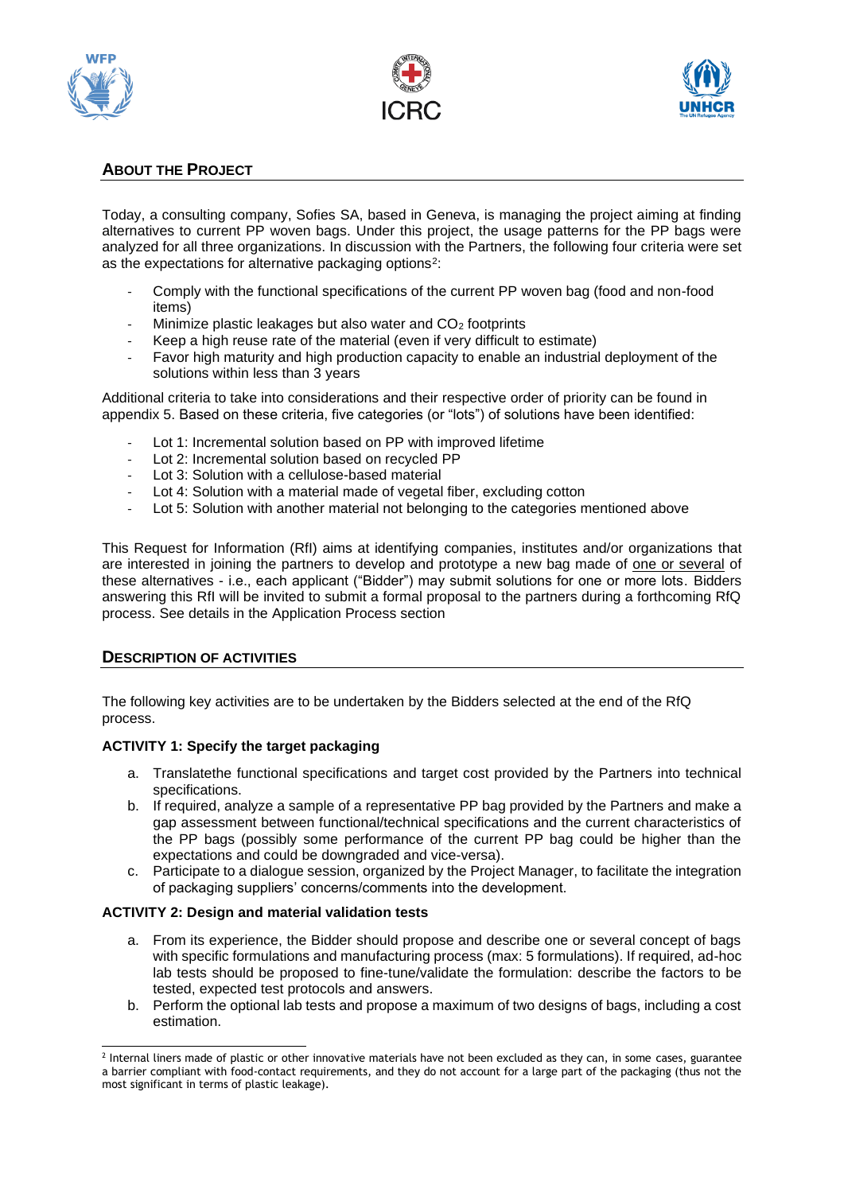





# **ABOUT THE PROJECT**

Today, a consulting company, Sofies SA, based in Geneva, is managing the project aiming at finding alternatives to current PP woven bags. Under this project, the usage patterns for the PP bags were analyzed for all three organizations. In discussion with the Partners, the following four criteria were set as the expectations for alternative packaging options<sup>2</sup>:

- Comply with the functional specifications of the current PP woven bag (food and non-food items)
- Minimize plastic leakages but also water and CO<sub>2</sub> footprints
- Keep a high reuse rate of the material (even if very difficult to estimate)
- Favor high maturity and high production capacity to enable an industrial deployment of the solutions within less than 3 years

Additional criteria to take into considerations and their respective order of priority can be found in appendix 5. Based on these criteria, five categories (or "lots") of solutions have been identified:

- Lot 1: Incremental solution based on PP with improved lifetime
- Lot 2: Incremental solution based on recycled PP
- Lot 3: Solution with a cellulose-based material
- Lot 4: Solution with a material made of vegetal fiber, excluding cotton
- Lot 5: Solution with another material not belonging to the categories mentioned above

This Request for Information (RfI) aims at identifying companies, institutes and/or organizations that are interested in joining the partners to develop and prototype a new bag made of one or several of these alternatives - i.e., each applicant ("Bidder") may submit solutions for one or more lots. Bidders answering this RfI will be invited to submit a formal proposal to the partners during a forthcoming RfQ process. See details in the Application Process section

#### **DESCRIPTION OF ACTIVITIES**

The following key activities are to be undertaken by the Bidders selected at the end of the RfQ process.

#### **ACTIVITY 1: Specify the target packaging**

- a. Translatethe functional specifications and target cost provided by the Partners into technical specifications.
- b. If required, analyze a sample of a representative PP bag provided by the Partners and make a gap assessment between functional/technical specifications and the current characteristics of the PP bags (possibly some performance of the current PP bag could be higher than the expectations and could be downgraded and vice-versa).
- c. Participate to a dialogue session, organized by the Project Manager, to facilitate the integration of packaging suppliers' concerns/comments into the development.

#### **ACTIVITY 2: Design and material validation tests**

- a. From its experience, the Bidder should propose and describe one or several concept of bags with specific formulations and manufacturing process (max: 5 formulations). If required, ad-hoc lab tests should be proposed to fine-tune/validate the formulation: describe the factors to be tested, expected test protocols and answers.
- b. Perform the optional lab tests and propose a maximum of two designs of bags, including a cost estimation.

<sup>&</sup>lt;sup>2</sup> Internal liners made of plastic or other innovative materials have not been excluded as they can, in some cases, guarantee a barrier compliant with food-contact requirements, and they do not account for a large part of the packaging (thus not the most significant in terms of plastic leakage).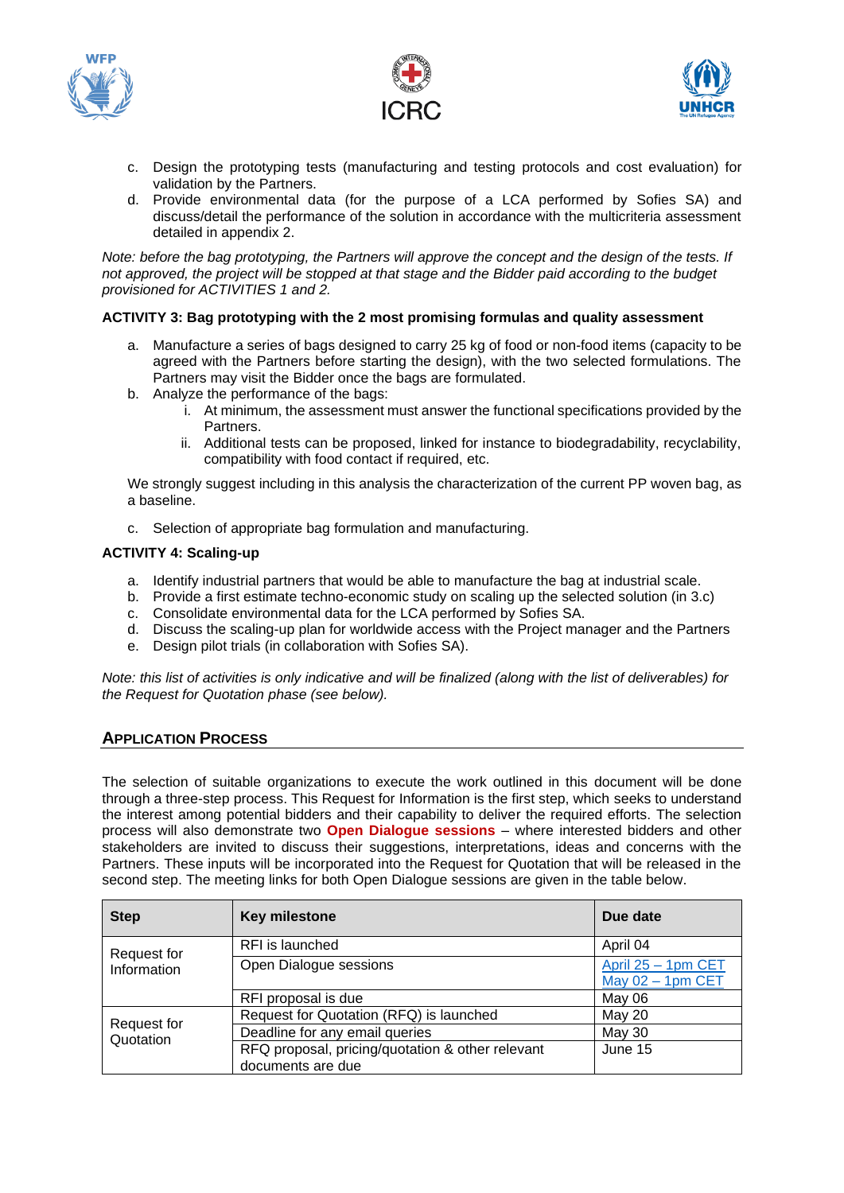





- c. Design the prototyping tests (manufacturing and testing protocols and cost evaluation) for validation by the Partners.
- d. Provide environmental data (for the purpose of a LCA performed by Sofies SA) and discuss/detail the performance of the solution in accordance with the multicriteria assessment detailed in appendix 2.

*Note: before the bag prototyping, the Partners will approve the concept and the design of the tests. If not approved, the project will be stopped at that stage and the Bidder paid according to the budget provisioned for ACTIVITIES 1 and 2.*

#### **ACTIVITY 3: Bag prototyping with the 2 most promising formulas and quality assessment**

- a. Manufacture a series of bags designed to carry 25 kg of food or non-food items (capacity to be agreed with the Partners before starting the design), with the two selected formulations. The Partners may visit the Bidder once the bags are formulated.
- b. Analyze the performance of the bags:
	- i. At minimum, the assessment must answer the functional specifications provided by the Partners.
	- ii. Additional tests can be proposed, linked for instance to biodegradability, recyclability, compatibility with food contact if required, etc.

We strongly suggest including in this analysis the characterization of the current PP woven bag, as a baseline.

c. Selection of appropriate bag formulation and manufacturing.

#### **ACTIVITY 4: Scaling-up**

- a. Identify industrial partners that would be able to manufacture the bag at industrial scale.
- b. Provide a first estimate techno-economic study on scaling up the selected solution (in 3.c)
- c. Consolidate environmental data for the LCA performed by Sofies SA.
- d. Discuss the scaling-up plan for worldwide access with the Project manager and the Partners
- e. Design pilot trials (in collaboration with Sofies SA).

*Note: this list of activities is only indicative and will be finalized (along with the list of deliverables) for the Request for Quotation phase (see below).*

## **APPLICATION PROCESS**

The selection of suitable organizations to execute the work outlined in this document will be done through a three-step process. This Request for Information is the first step, which seeks to understand the interest among potential bidders and their capability to deliver the required efforts. The selection process will also demonstrate two **Open Dialogue sessions** – where interested bidders and other stakeholders are invited to discuss their suggestions, interpretations, ideas and concerns with the Partners. These inputs will be incorporated into the Request for Quotation that will be released in the second step. The meeting links for both Open Dialogue sessions are given in the table below.

| <b>Step</b>                | Key milestone                                                         | Due date                                  |
|----------------------------|-----------------------------------------------------------------------|-------------------------------------------|
| Request for<br>Information | RFI is launched                                                       | April 04                                  |
|                            | Open Dialogue sessions                                                | April 25 - 1pm CET<br>May $02 - 1$ pm CET |
|                            | RFI proposal is due                                                   | May 06                                    |
| Request for<br>Quotation   | Request for Quotation (RFQ) is launched                               | May 20                                    |
|                            | Deadline for any email queries                                        | <b>May 30</b>                             |
|                            | RFQ proposal, pricing/quotation & other relevant<br>documents are due | June 15                                   |